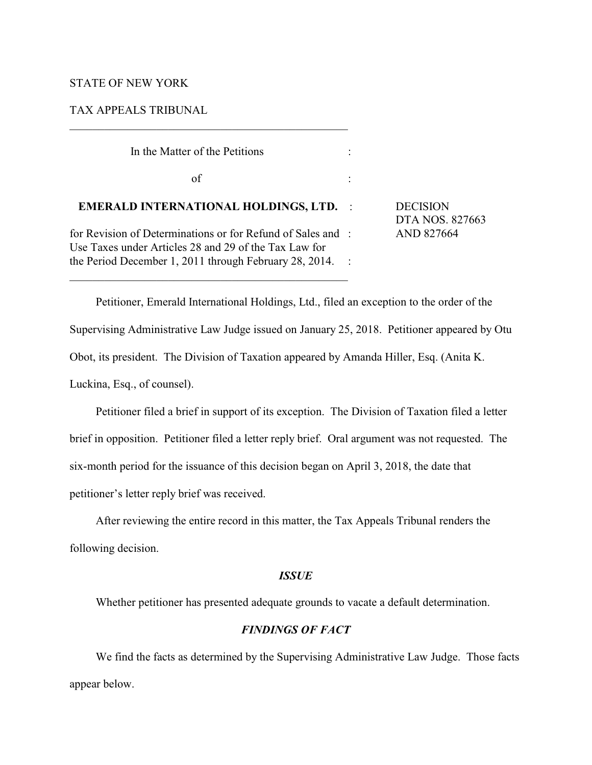### STATE OF NEW YORK

TAX APPEALS TRIBUNAL

| In the Matter of the Petitions                                                                                                                                                 |  |                                                  |
|--------------------------------------------------------------------------------------------------------------------------------------------------------------------------------|--|--------------------------------------------------|
| of                                                                                                                                                                             |  |                                                  |
| <b>EMERALD INTERNATIONAL HOLDINGS, LTD. :</b>                                                                                                                                  |  | <b>DECISION</b><br>DTA NOS. 827663<br>AND 827664 |
| for Revision of Determinations or for Refund of Sales and :<br>Use Taxes under Articles 28 and 29 of the Tax Law for<br>the Period December 1, 2011 through February 28, 2014. |  |                                                  |
|                                                                                                                                                                                |  |                                                  |

 $\overline{\phantom{a}}$  , and the set of the set of the set of the set of the set of the set of the set of the set of the set of the set of the set of the set of the set of the set of the set of the set of the set of the set of the s

Petitioner, Emerald International Holdings, Ltd., filed an exception to the order of the Supervising Administrative Law Judge issued on January 25, 2018. Petitioner appeared by Otu Obot, its president. The Division of Taxation appeared by Amanda Hiller, Esq. (Anita K. Luckina, Esq., of counsel).

Petitioner filed a brief in support of its exception. The Division of Taxation filed a letter brief in opposition. Petitioner filed a letter reply brief. Oral argument was not requested. The six-month period for the issuance of this decision began on April 3, 2018, the date that petitioner's letter reply brief was received.

After reviewing the entire record in this matter, the Tax Appeals Tribunal renders the following decision.

## *ISSUE*

Whether petitioner has presented adequate grounds to vacate a default determination.

# *FINDINGS OF FACT*

We find the facts as determined by the Supervising Administrative Law Judge. Those facts appear below.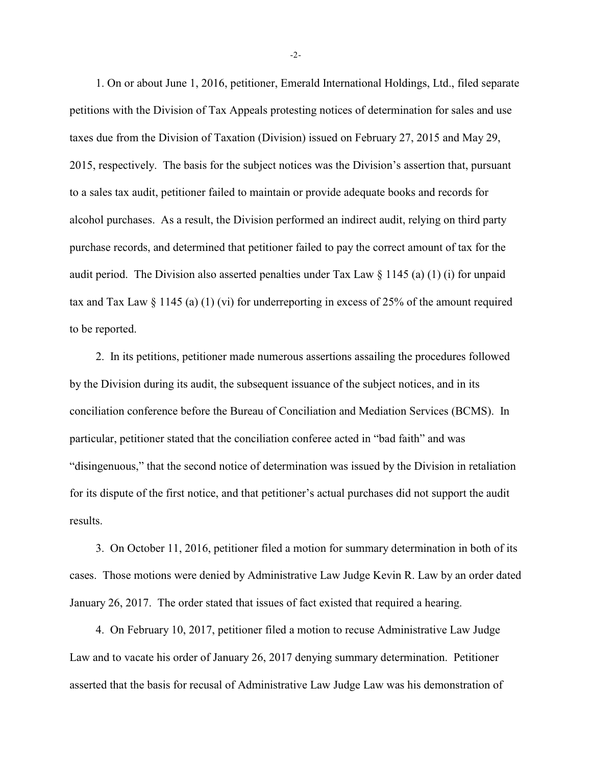1. On or about June 1, 2016, petitioner, Emerald International Holdings, Ltd., filed separate petitions with the Division of Tax Appeals protesting notices of determination for sales and use taxes due from the Division of Taxation (Division) issued on February 27, 2015 and May 29, 2015, respectively. The basis for the subject notices was the Division's assertion that, pursuant to a sales tax audit, petitioner failed to maintain or provide adequate books and records for alcohol purchases. As a result, the Division performed an indirect audit, relying on third party purchase records, and determined that petitioner failed to pay the correct amount of tax for the audit period. The Division also asserted penalties under Tax Law § 1145 (a) (1) (i) for unpaid tax and Tax Law § 1145 (a) (1) (vi) for underreporting in excess of 25% of the amount required to be reported.

2. In its petitions, petitioner made numerous assertions assailing the procedures followed by the Division during its audit, the subsequent issuance of the subject notices, and in its conciliation conference before the Bureau of Conciliation and Mediation Services (BCMS). In particular, petitioner stated that the conciliation conferee acted in "bad faith" and was "disingenuous," that the second notice of determination was issued by the Division in retaliation for its dispute of the first notice, and that petitioner's actual purchases did not support the audit results.

3. On October 11, 2016, petitioner filed a motion for summary determination in both of its cases. Those motions were denied by Administrative Law Judge Kevin R. Law by an order dated January 26, 2017. The order stated that issues of fact existed that required a hearing.

4. On February 10, 2017, petitioner filed a motion to recuse Administrative Law Judge Law and to vacate his order of January 26, 2017 denying summary determination. Petitioner asserted that the basis for recusal of Administrative Law Judge Law was his demonstration of

-2-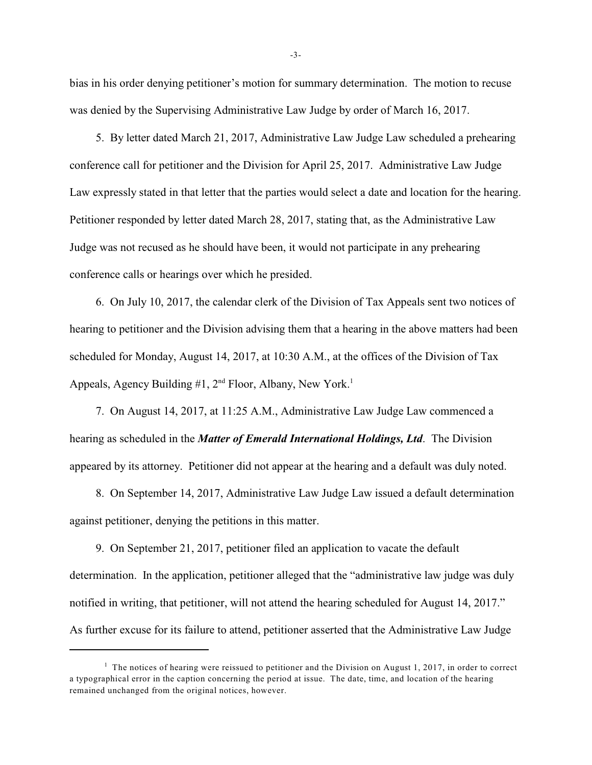bias in his order denying petitioner's motion for summary determination. The motion to recuse was denied by the Supervising Administrative Law Judge by order of March 16, 2017.

5. By letter dated March 21, 2017, Administrative Law Judge Law scheduled a prehearing conference call for petitioner and the Division for April 25, 2017. Administrative Law Judge Law expressly stated in that letter that the parties would select a date and location for the hearing. Petitioner responded by letter dated March 28, 2017, stating that, as the Administrative Law Judge was not recused as he should have been, it would not participate in any prehearing conference calls or hearings over which he presided.

6. On July 10, 2017, the calendar clerk of the Division of Tax Appeals sent two notices of hearing to petitioner and the Division advising them that a hearing in the above matters had been scheduled for Monday, August 14, 2017, at 10:30 A.M., at the offices of the Division of Tax Appeals, Agency Building  $#1$ ,  $2<sup>nd</sup>$  Floor, Albany, New York.<sup>1</sup>

7. On August 14, 2017, at 11:25 A.M., Administrative Law Judge Law commenced a hearing as scheduled in the *Matter of Emerald International Holdings, Ltd*. The Division appeared by its attorney. Petitioner did not appear at the hearing and a default was duly noted.

8. On September 14, 2017, Administrative Law Judge Law issued a default determination against petitioner, denying the petitions in this matter.

9. On September 21, 2017, petitioner filed an application to vacate the default determination. In the application, petitioner alleged that the "administrative law judge was duly notified in writing, that petitioner, will not attend the hearing scheduled for August 14, 2017." As further excuse for its failure to attend, petitioner asserted that the Administrative Law Judge

<sup>&</sup>lt;sup>1</sup> The notices of hearing were reissued to petitioner and the Division on August 1, 2017, in order to correct a typographical error in the caption concerning the period at issue. The date, time, and location of the hearing remained unchanged from the original notices, however.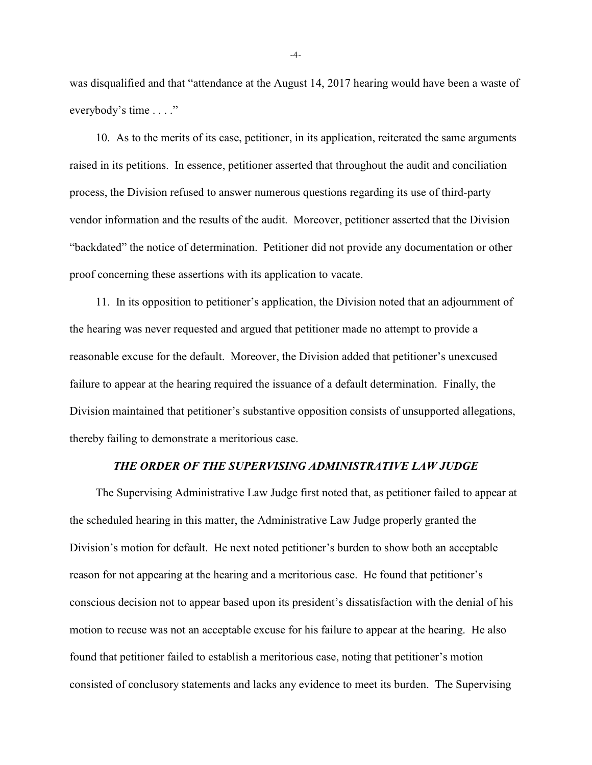was disqualified and that "attendance at the August 14, 2017 hearing would have been a waste of everybody's time . . . ."

10. As to the merits of its case, petitioner, in its application, reiterated the same arguments raised in its petitions. In essence, petitioner asserted that throughout the audit and conciliation process, the Division refused to answer numerous questions regarding its use of third-party vendor information and the results of the audit. Moreover, petitioner asserted that the Division "backdated" the notice of determination. Petitioner did not provide any documentation or other proof concerning these assertions with its application to vacate.

11. In its opposition to petitioner's application, the Division noted that an adjournment of the hearing was never requested and argued that petitioner made no attempt to provide a reasonable excuse for the default. Moreover, the Division added that petitioner's unexcused failure to appear at the hearing required the issuance of a default determination. Finally, the Division maintained that petitioner's substantive opposition consists of unsupported allegations, thereby failing to demonstrate a meritorious case.

### *THE ORDER OF THE SUPERVISING ADMINISTRATIVE LAW JUDGE*

The Supervising Administrative Law Judge first noted that, as petitioner failed to appear at the scheduled hearing in this matter, the Administrative Law Judge properly granted the Division's motion for default. He next noted petitioner's burden to show both an acceptable reason for not appearing at the hearing and a meritorious case. He found that petitioner's conscious decision not to appear based upon its president's dissatisfaction with the denial of his motion to recuse was not an acceptable excuse for his failure to appear at the hearing. He also found that petitioner failed to establish a meritorious case, noting that petitioner's motion consisted of conclusory statements and lacks any evidence to meet its burden. The Supervising

-4-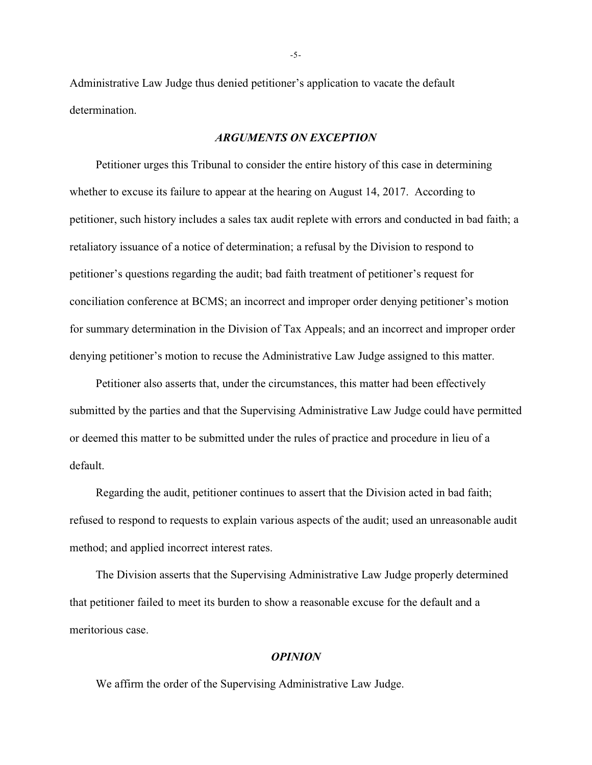Administrative Law Judge thus denied petitioner's application to vacate the default determination.

#### *ARGUMENTS ON EXCEPTION*

Petitioner urges this Tribunal to consider the entire history of this case in determining whether to excuse its failure to appear at the hearing on August 14, 2017. According to petitioner, such history includes a sales tax audit replete with errors and conducted in bad faith; a retaliatory issuance of a notice of determination; a refusal by the Division to respond to petitioner's questions regarding the audit; bad faith treatment of petitioner's request for conciliation conference at BCMS; an incorrect and improper order denying petitioner's motion for summary determination in the Division of Tax Appeals; and an incorrect and improper order denying petitioner's motion to recuse the Administrative Law Judge assigned to this matter.

Petitioner also asserts that, under the circumstances, this matter had been effectively submitted by the parties and that the Supervising Administrative Law Judge could have permitted or deemed this matter to be submitted under the rules of practice and procedure in lieu of a default.

Regarding the audit, petitioner continues to assert that the Division acted in bad faith; refused to respond to requests to explain various aspects of the audit; used an unreasonable audit method; and applied incorrect interest rates.

The Division asserts that the Supervising Administrative Law Judge properly determined that petitioner failed to meet its burden to show a reasonable excuse for the default and a meritorious case.

#### *OPINION*

We affirm the order of the Supervising Administrative Law Judge.

-5-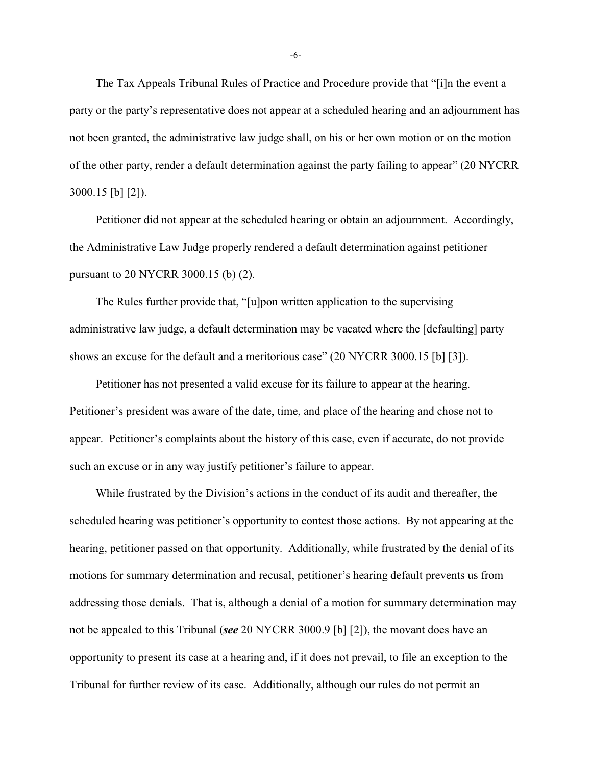The Tax Appeals Tribunal Rules of Practice and Procedure provide that "[i]n the event a party or the party's representative does not appear at a scheduled hearing and an adjournment has not been granted, the administrative law judge shall, on his or her own motion or on the motion of the other party, render a default determination against the party failing to appear" (20 NYCRR 3000.15 [b] [2]).

Petitioner did not appear at the scheduled hearing or obtain an adjournment. Accordingly, the Administrative Law Judge properly rendered a default determination against petitioner pursuant to 20 NYCRR 3000.15 (b) (2).

The Rules further provide that, "[u]pon written application to the supervising administrative law judge, a default determination may be vacated where the [defaulting] party shows an excuse for the default and a meritorious case" (20 NYCRR 3000.15 [b] [3]).

Petitioner has not presented a valid excuse for its failure to appear at the hearing. Petitioner's president was aware of the date, time, and place of the hearing and chose not to appear. Petitioner's complaints about the history of this case, even if accurate, do not provide such an excuse or in any way justify petitioner's failure to appear.

While frustrated by the Division's actions in the conduct of its audit and thereafter, the scheduled hearing was petitioner's opportunity to contest those actions. By not appearing at the hearing, petitioner passed on that opportunity. Additionally, while frustrated by the denial of its motions for summary determination and recusal, petitioner's hearing default prevents us from addressing those denials. That is, although a denial of a motion for summary determination may not be appealed to this Tribunal (*see* 20 NYCRR 3000.9 [b] [2]), the movant does have an opportunity to present its case at a hearing and, if it does not prevail, to file an exception to the Tribunal for further review of its case. Additionally, although our rules do not permit an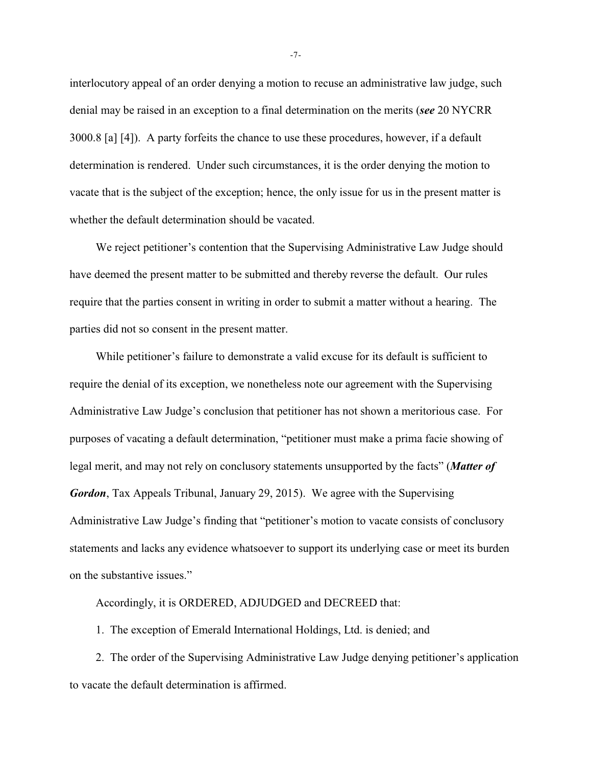interlocutory appeal of an order denying a motion to recuse an administrative law judge, such denial may be raised in an exception to a final determination on the merits (*see* 20 NYCRR 3000.8 [a] [4]). A party forfeits the chance to use these procedures, however, if a default determination is rendered. Under such circumstances, it is the order denying the motion to vacate that is the subject of the exception; hence, the only issue for us in the present matter is whether the default determination should be vacated.

We reject petitioner's contention that the Supervising Administrative Law Judge should have deemed the present matter to be submitted and thereby reverse the default. Our rules require that the parties consent in writing in order to submit a matter without a hearing. The parties did not so consent in the present matter.

While petitioner's failure to demonstrate a valid excuse for its default is sufficient to require the denial of its exception, we nonetheless note our agreement with the Supervising Administrative Law Judge's conclusion that petitioner has not shown a meritorious case. For purposes of vacating a default determination, "petitioner must make a prima facie showing of legal merit, and may not rely on conclusory statements unsupported by the facts" (*Matter of Gordon*, Tax Appeals Tribunal, January 29, 2015). We agree with the Supervising Administrative Law Judge's finding that "petitioner's motion to vacate consists of conclusory statements and lacks any evidence whatsoever to support its underlying case or meet its burden on the substantive issues."

Accordingly, it is ORDERED, ADJUDGED and DECREED that:

1. The exception of Emerald International Holdings, Ltd. is denied; and

2. The order of the Supervising Administrative Law Judge denying petitioner's application to vacate the default determination is affirmed.

-7-